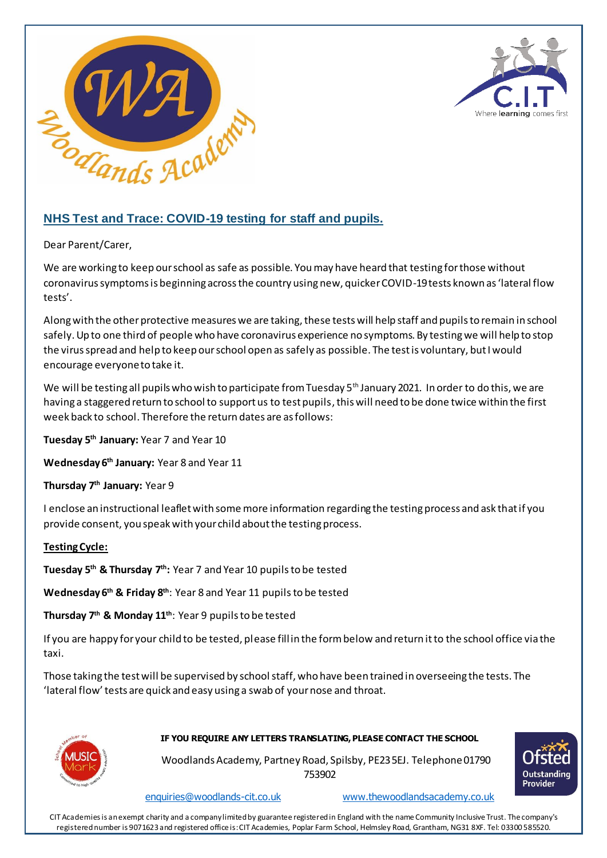



# **NHS Test and Trace: COVID-19 testing for staff and pupils.**

Dear Parent/Carer,

We are working to keep our school as safe as possible. You may have heard that testing for those without coronavirus symptoms is beginning across the country using new, quicker COVID-19 tests known as 'lateral flow tests'.

Along with the other protective measures we are taking, these tests will help staff and pupils to remain in school safely. Up to one third of people who have coronavirus experience no symptoms. By testing we will help to stop the virus spread and help to keep our school open as safely as possible. The test is voluntary, but I would encourage everyone to take it.

We will be testing all pupils who wish to participate from Tuesday 5<sup>th</sup> January 2021. In order to do this, we are having a staggered return to school to support us to test pupils, this will need to be done twice within the first week back to school. Therefore the return dates are as follows:

**Tuesday 5th January:** Year 7 and Year 10

**Wednesday 6th January:** Year 8 and Year 11

**Thursday 7th January:** Year 9

I enclose an instructional leaflet with some more information regarding the testing process and ask that if you provide consent, you speak with your child about the testing process.

## **Testing Cycle:**

**Tuesday 5th & Thursday 7th:** Year 7 and Year 10 pupilsto be tested

**Wednesday 6th & Friday 8th**: Year 8 and Year 11 pupils to be tested

**Thursday 7th & Monday 11th**: Year 9 pupils to be tested

If you are happy for your child to be tested, please fill in the form below and return it to the school office via the taxi.

Those taking the test will be supervised by school staff, who have been trained in overseeing the tests. The 'lateral flow' tests are quick and easy using a swab of your nose and throat.



#### **IF YOU REQUIRE ANY LETTERS TRANSLATING, PLEASE CONTACT THE SCHOOL**

 Woodlands Academy, Partney Road, Spilsby, PE23 5EJ. Telephone01790 753902

Outstanding Provider

[enquiries@woodlands-cit.co.uk](mailto:enquiries@woodlands-cit.co.uk) [www.thewoodlandsacademy.co.uk](http://www.thewoodlandsacademy.co.uk/)

CIT Academies is an exempt charity and a company limited by guarantee registered in England with the name Community Inclusive Trust. The company's registered number is 9071623 and registered office is: CIT Academies, Poplar Farm School, Helmsley Road, Grantham, NG31 8XF. Tel: 03300 585520.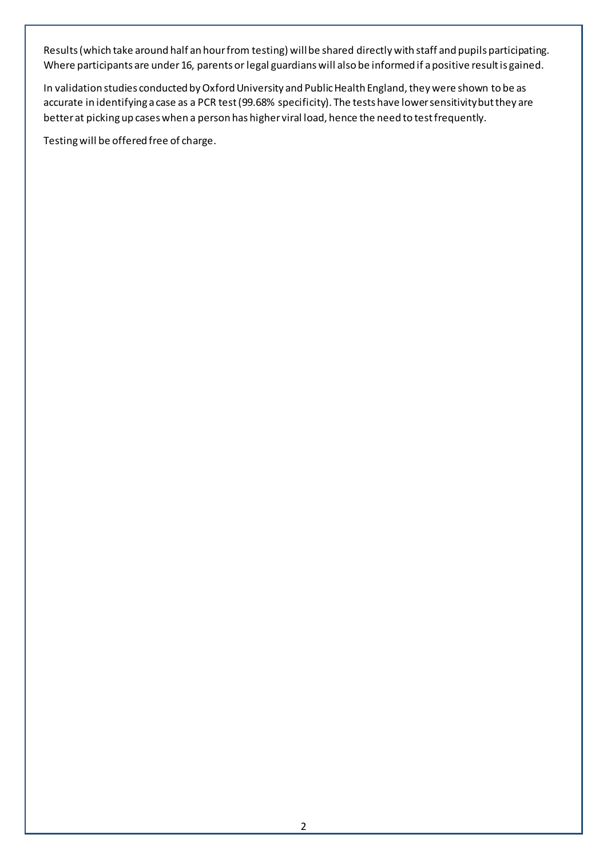Results (which take around half an hour from testing) will be shared directly with staff and pupils participating. Where participants are under 16, parents or legal guardians will also be informed if a positive result is gained.

In validation studies conducted by Oxford University and Public Health England, they were shown to be as accurate in identifying a case as a PCR test (99.68% specificity). The tests have lower sensitivity but they are better at picking up cases when a person has higher viral load, hence the need to test frequently.

Testing will be offered free of charge.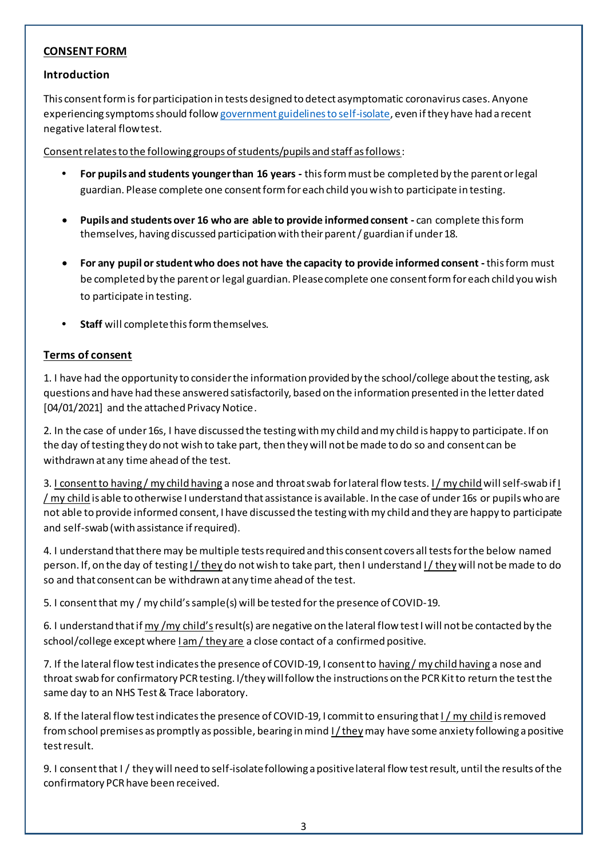## **CONSENT FORM**

#### **Introduction**

This consent form is for participation in tests designed to detect asymptomatic coronavirus cases. Anyone experiencing symptoms should follo[w government guidelines to self-isolate](https://www.gov.uk/government/publications/covid-19-stay-at-home-guidance/stay-at-home-guidance-for-households-with-possible-coronavirus-covid-19-infection), even if they have had a recent negative lateral flow test.

Consent relates to the following groups of students/pupils and staff as follows:

- **• For pupils and students younger than 16 years -** this form must be completed by the parent or legal guardian. Please complete one consent form for each child you wish to participate in testing.
- **Pupils and students over 16 who are able to provide informed consent -** can complete this form themselves, having discussed participation with their parent / guardian if under 18.
- **For any pupil or student who does not have the capacity to provide informed consent -**this form must be completed by the parent or legal guardian. Please complete one consent form for each child you wish to participate in testing.
- **• Staff** will complete this form themselves.

#### **Terms of consent**

1. I have had the opportunity to consider the information provided by the school/college about the testing, ask questions and have had these answered satisfactorily, based on the information presented in the letter dated [04/01/2021] and the attached Privacy Notice.

2. In the case of under 16s, I have discussed the testing with my child and my child is happy to participate. If on the day of testing they do not wish to take part, then they will not be made to do so and consent can be withdrawn at any time ahead of the test.

3. I consent to having / my child having a nose and throat swab for lateral flow tests. I / my child will self-swab if I  $/my$  child is able to otherwise I understand that assistance is available. In the case of under 16s or pupils who are not able to provide informed consent, I have discussed the testing with my child and they are happy to participate and self-swab (with assistance if required).

4. I understand that there may be multiple tests required and this consent covers all tests for the below named person. If, on the day of testing I/ they do not wish to take part, then I understand I/ they will not be made to do so and that consent can be withdrawn at any time ahead of the test.

5. I consent that my / my child's sample(s) will be tested for the presence of COVID-19.

6. I understand that if  $\frac{my}{my}$  child's result(s) are negative on the lateral flow test I will not be contacted by the school/college except where I am / they are a close contact of a confirmed positive.

7. If the lateral flow test indicates the presence of COVID-19, I consent to having/my child having a nose and throat swab for confirmatory PCR testing. I/they will follow the instructions on the PCR Kit to return the test the same day to an NHS Test & Trace laboratory.

8. If the lateral flow test indicates the presence of COVID-19, I commit to ensuring that I / my child is removed from school premises as promptly as possible, bearing in mind I/theymay have some anxiety following a positive test result.

9. I consent that I / they will need to self-isolate following a positive lateral flow test result, until the results of the confirmatory PCR have been received.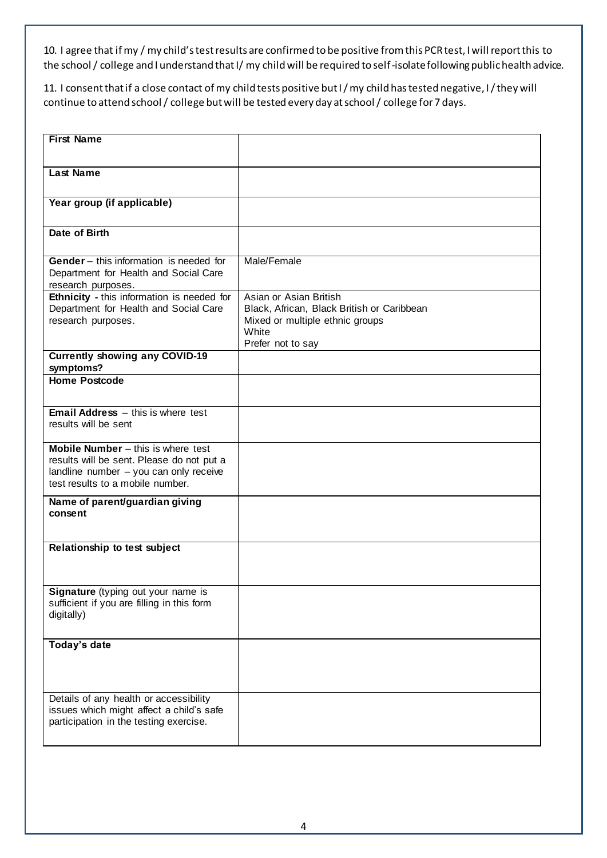10. I agree that if my / my child's test results are confirmed to be positive from this PCR test, I will report this to the school / college and I understand that I/ my child will be required to self-isolate following public health advice.

11. I consent that if a close contact of my child tests positive but I / my child has tested negative, I / they will continue to attend school / college but will be tested every day at school / college for 7 days.

| <b>First Name</b>                                                                       |                                            |
|-----------------------------------------------------------------------------------------|--------------------------------------------|
|                                                                                         |                                            |
|                                                                                         |                                            |
| <b>Last Name</b>                                                                        |                                            |
|                                                                                         |                                            |
|                                                                                         |                                            |
| Year group (if applicable)                                                              |                                            |
|                                                                                         |                                            |
| Date of Birth                                                                           |                                            |
|                                                                                         |                                            |
| Gender - this information is needed for                                                 | Male/Female                                |
| Department for Health and Social Care                                                   |                                            |
| research purposes.                                                                      |                                            |
| Ethnicity - this information is needed for                                              | Asian or Asian British                     |
| Department for Health and Social Care                                                   | Black, African, Black British or Caribbean |
| research purposes.                                                                      | Mixed or multiple ethnic groups            |
|                                                                                         | White                                      |
|                                                                                         | Prefer not to say                          |
| <b>Currently showing any COVID-19</b>                                                   |                                            |
| symptoms?                                                                               |                                            |
| <b>Home Postcode</b>                                                                    |                                            |
|                                                                                         |                                            |
|                                                                                         |                                            |
| <b>Email Address</b> $-$ this is where test                                             |                                            |
| results will be sent                                                                    |                                            |
|                                                                                         |                                            |
| Mobile Number - this is where test                                                      |                                            |
| results will be sent. Please do not put a                                               |                                            |
| landline number - you can only receive                                                  |                                            |
| test results to a mobile number.                                                        |                                            |
| Name of parent/guardian giving                                                          |                                            |
| consent                                                                                 |                                            |
|                                                                                         |                                            |
|                                                                                         |                                            |
| Relationship to test subject                                                            |                                            |
|                                                                                         |                                            |
|                                                                                         |                                            |
|                                                                                         |                                            |
| <b>Signature</b> (typing out your name is<br>sufficient if you are filling in this form |                                            |
| digitally)                                                                              |                                            |
|                                                                                         |                                            |
|                                                                                         |                                            |
| Today's date                                                                            |                                            |
|                                                                                         |                                            |
|                                                                                         |                                            |
|                                                                                         |                                            |
| Details of any health or accessibility                                                  |                                            |
| issues which might affect a child's safe                                                |                                            |
| participation in the testing exercise.                                                  |                                            |
|                                                                                         |                                            |
|                                                                                         |                                            |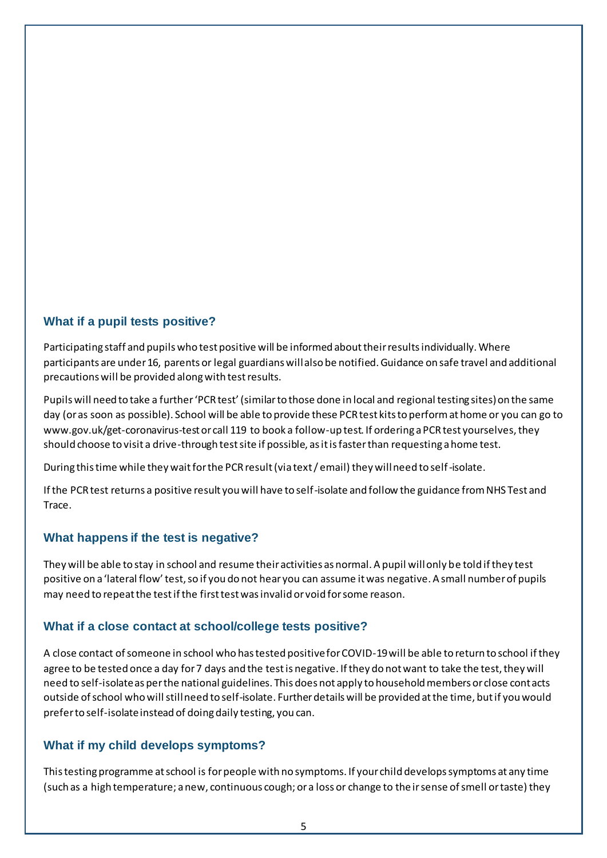# **What if a pupil tests positive?**

Participating staff and pupils who test positive will be informed about their results individually. Where participants are under 16, parents or legal guardians will also be notified. Guidance on safe travel and additional precautions will be provided along with test results.

Pupils will need to take a further 'PCR test' (similar to those done in local and regional testing sites) on the same day (or as soon as possible). School will be able to provide these PCR test kits to perform at home or you can go to www.gov.uk/get-coronavirus-test or call 119 to book a follow-up test. If ordering a PCR test yourselves, they should choose to visit a drive-through test site if possible, as it is faster than requesting a home test.

During this time while they wait for the PCR result (via text / email) they will need to self-isolate.

If the PCR test returns a positive result you will have to self-isolate and follow the guidance from NHS Test and Trace.

# **What happens if the test is negative?**

They will be able to stay in school and resume their activities as normal. A pupil will only be told if they test positive on a 'lateral flow' test, so if you do not hear you can assume it was negative. A small number of pupils may need to repeat the test if the first test was invalid or void for some reason.

## **What if a close contact at school/college tests positive?**

A close contact of someone in school who has tested positive for COVID-19 will be able to return to school if they agree to be tested once a day for 7 days and the test is negative. If they do not want to take the test, they will need to self-isolate as per the national guidelines. This does not apply to household members or close contacts outside of school who will still need to self-isolate. Further details will be provided at the time, but if you would prefer to self-isolate instead of doing daily testing, you can.

# **What if my child develops symptoms?**

This testing programme at school is for people with no symptoms. If your child develops symptoms at any time (such as a high temperature; a new, continuous cough; or a loss or change to their sense of smell or taste) they